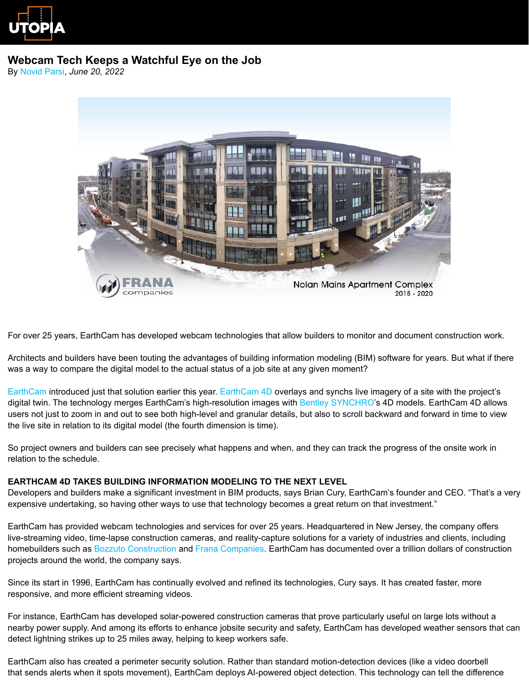

# **Webcam Tech Keeps a Watchful Eye on the Job**

By [Novid Parsi,](https://constructutopia.com/about/novid-parsi) *June 20, 2022*



For over 25 years, EarthCam has developed webcam technologies that allow builders to monitor and document construction work.

Architects and builders have been touting the advantages of building information modeling (BIM) software for years. But what if there was a way to compare the digital model to the actual status of a job site at any given moment?

[EarthCam](https://www.earthcam.net/) introduced just that solution earlier this year. [EarthCam 4D](https://www.earthcam.net/earthcam4d/) overlays and synchs live imagery of a site with the project's digital twin. The technology merges EarthCam's high-resolution images with [Bentley SYNCHRO](https://www.bentley.com/en/products/brands/synchro)'s 4D models. EarthCam 4D allows users not just to zoom in and out to see both high-level and granular details, but also to scroll backward and forward in time to view the live site in relation to its digital model (the fourth dimension is time).

So project owners and builders can see precisely what happens and when, and they can track the progress of the onsite work in relation to the schedule.

### **EARTHCAM 4D TAKES BUILDING INFORMATION MODELING TO THE NEXT LEVEL**

Developers and builders make a significant investment in BIM products, says Brian Cury, EarthCam's founder and CEO. "That's a very expensive undertaking, so having other ways to use that technology becomes a great return on that investment."

EarthCam has provided webcam technologies and services for over 25 years. Headquartered in New Jersey, the company offers live-streaming video, time-lapse construction cameras, and reality-capture solutions for a variety of industries and clients, including homebuilders such as [Bozzuto Construction](https://www.bozzuto.com/construction/) and [Frana Companies.](https://www.frana.com/) EarthCam has documented over a trillion dollars of construction projects around the world, the company says.

Since its start in 1996, EarthCam has continually evolved and refined its technologies, Cury says. It has created faster, more responsive, and more efficient streaming videos.

For instance, EarthCam has developed solar-powered construction cameras that prove particularly useful on large lots without a nearby power supply. And among its efforts to enhance jobsite security and safety, EarthCam has developed weather sensors that can detect lightning strikes up to 25 miles away, helping to keep workers safe.

EarthCam also has created a perimeter security solution. Rather than standard motion-detection devices (like a video doorbell that sends alerts when it spots movement), EarthCam deploys AI-powered object detection. This technology can tell the difference